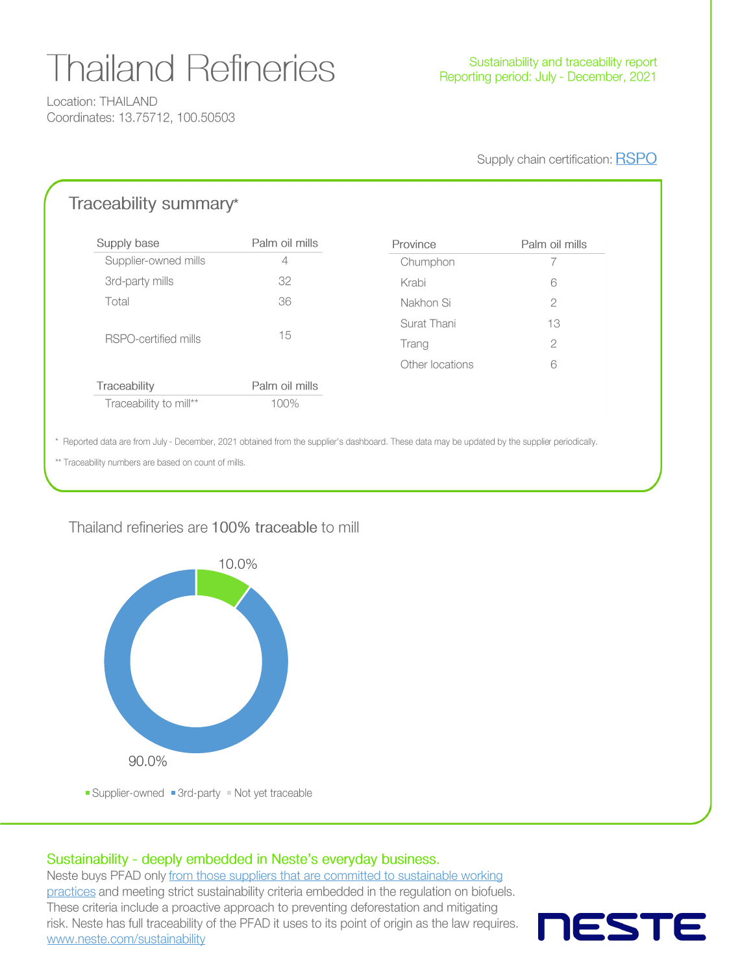# **Thailand Refineries**

Location: THAILAND Coordinates: 13.75712, 100.50503

Supply chain certification: RSPO

### Traceability summary\*

| Supply base            | Palm oil mills | Province        | Palm oil mills |  |
|------------------------|----------------|-----------------|----------------|--|
| Supplier-owned mills   | $\overline{4}$ | Chumphon        |                |  |
| 3rd-party mills        | 32             | Krabi           | 6              |  |
| Total                  | 36             | Nakhon Si       | $\overline{2}$ |  |
| RSPO-certified mills   |                | Surat Thani     | 13             |  |
|                        | 15             | Trang           | $\mathbf{2}$   |  |
|                        |                | Other locations | 6              |  |
| Traceability           | Palm oil mills |                 |                |  |
| Traceability to mill** | 100%           |                 |                |  |

\* Reported data are from July - December, 2021 obtained from the supplier's dashboard. These data may be updated by the supplier periodically.

\*\* Traceability numbers are based on count of mills.

#### Thailand refineries are 100% traceable to mill



#### Sustainability - deeply embedded in Neste's everyday business.

Neste buys PFAD only from those suppliers that are committed to sustainable working practices and meeting strict sustainability criteria embedded in the regulation on biofuels. These criteria include a proactive approach to preventing deforestation and mitigating risk. Neste has full traceability of the PFAD it uses to its point of origin as the law requires. www.neste.com/sustainability

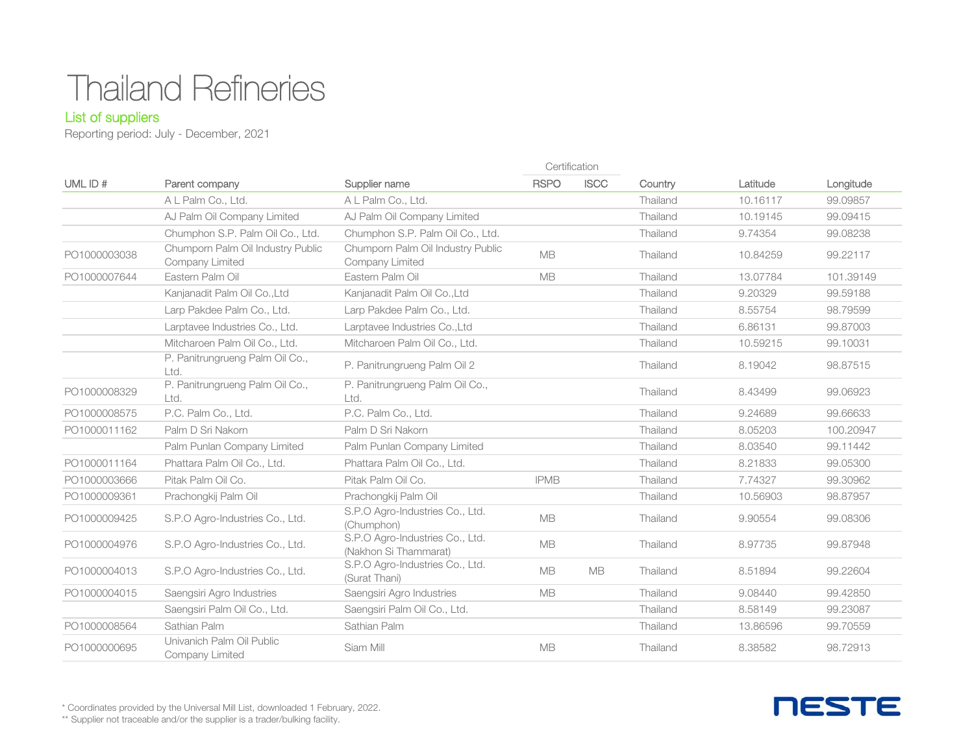## Thailand Refineries

#### List of suppliers

Reporting period: July - December, 2021

|              |                                                      |                                                          |             | Certification |          |          |           |
|--------------|------------------------------------------------------|----------------------------------------------------------|-------------|---------------|----------|----------|-----------|
| UML ID#      | Parent company                                       | Supplier name                                            | <b>RSPO</b> | <b>ISCC</b>   | Country  | Latitude | Longitude |
|              | A L Palm Co., Ltd.                                   | A L Palm Co., Ltd.                                       |             |               | Thailand | 10.16117 | 99.09857  |
|              | AJ Palm Oil Company Limited                          | AJ Palm Oil Company Limited                              |             |               | Thailand | 10.19145 | 99.09415  |
|              | Chumphon S.P. Palm Oil Co., Ltd.                     | Chumphon S.P. Palm Oil Co., Ltd.                         |             |               | Thailand | 9.74354  | 99.08238  |
| PO1000003038 | Chumporn Palm Oil Industry Public<br>Company Limited | Chumporn Palm Oil Industry Public<br>Company Limited     | <b>MB</b>   |               | Thailand | 10.84259 | 99.22117  |
| PO1000007644 | Eastern Palm Oil                                     | Eastern Palm Oil                                         | <b>MB</b>   |               | Thailand | 13.07784 | 101.39149 |
|              | Kanjanadit Palm Oil Co., Ltd                         | Kanjanadit Palm Oil Co., Ltd                             |             |               | Thailand | 9.20329  | 99.59188  |
|              | Larp Pakdee Palm Co., Ltd.                           | Larp Pakdee Palm Co., Ltd.                               |             |               | Thailand | 8.55754  | 98.79599  |
|              | Larptavee Industries Co., Ltd.                       | Larptavee Industries Co., Ltd                            |             |               | Thailand | 6.86131  | 99,87003  |
|              | Mitcharoen Palm Oil Co., Ltd.                        | Mitcharoen Palm Oil Co., Ltd.                            |             |               | Thailand | 10.59215 | 99.10031  |
|              | P. Panitrungrueng Palm Oil Co.,<br>Ltd.              | P. Panitrungrueng Palm Oil 2                             |             |               | Thailand | 8.19042  | 98.87515  |
| PO1000008329 | P. Panitrungrueng Palm Oil Co.,<br>Ltd.              | P. Panitrungrueng Palm Oil Co.,<br>Ltd.                  |             |               | Thailand | 8.43499  | 99.06923  |
| PO1000008575 | P.C. Palm Co., Ltd.                                  | P.C. Palm Co., Ltd.                                      |             |               | Thailand | 9.24689  | 99.66633  |
| PO1000011162 | Palm D Sri Nakorn                                    | Palm D Sri Nakorn                                        |             |               | Thailand | 8.05203  | 100.20947 |
|              | Palm Punlan Company Limited                          | Palm Punlan Company Limited                              |             |               | Thailand | 8.03540  | 99.11442  |
| PO1000011164 | Phattara Palm Oil Co., Ltd.                          | Phattara Palm Oil Co., Ltd.                              |             |               | Thailand | 8.21833  | 99,05300  |
| PO1000003666 | Pitak Palm Oil Co.                                   | Pitak Palm Oil Co.                                       | <b>IPMB</b> |               | Thailand | 7.74327  | 99.30962  |
| PO1000009361 | Prachongkij Palm Oil                                 | Prachongkij Palm Oil                                     |             |               | Thailand | 10.56903 | 98,87957  |
| PO1000009425 | S.P.O Agro-Industries Co., Ltd.                      | S.P.O Agro-Industries Co., Ltd.<br>(Chumphon)            | MB          |               | Thailand | 9.90554  | 99.08306  |
| PO1000004976 | S.P.O Agro-Industries Co., Ltd.                      | S.P.O Agro-Industries Co., Ltd.<br>(Nakhon Si Thammarat) | <b>MB</b>   |               | Thailand | 8.97735  | 99.87948  |
| PO1000004013 | S.P.O Agro-Industries Co., Ltd.                      | S.P.O Agro-Industries Co., Ltd.<br>(Surat Thani)         | <b>MB</b>   | <b>MB</b>     | Thailand | 8.51894  | 99.22604  |
| PO1000004015 | Saengsiri Agro Industries                            | Saengsiri Agro Industries                                | <b>MB</b>   |               | Thailand | 9.08440  | 99.42850  |
|              | Saengsiri Palm Oil Co., Ltd.                         | Saengsiri Palm Oil Co., Ltd.                             |             |               | Thailand | 8.58149  | 99.23087  |
| PO1000008564 | Sathian Palm                                         | Sathian Palm                                             |             |               | Thailand | 13.86596 | 99.70559  |
| PO1000000695 | Univanich Palm Oil Public<br>Company Limited         | Siam Mill                                                | <b>MB</b>   |               | Thailand | 8.38582  | 98.72913  |

**NESTE** 

\* Coordinates provided by the Universal Mill List, downloaded 1 February, 2022.

\*\* Supplier not traceable and/or the supplier is a trader/bulking facility.